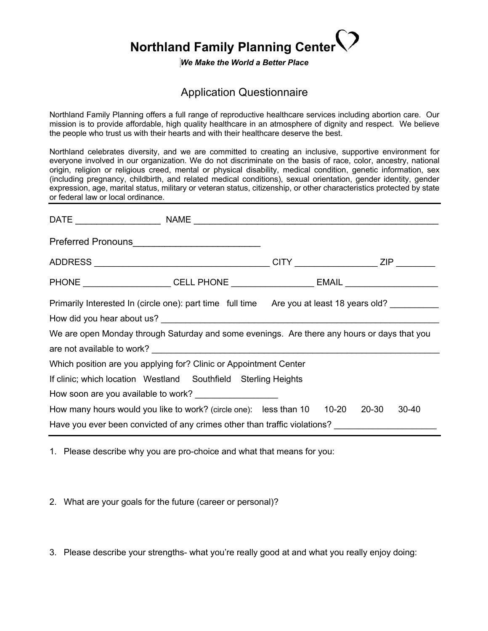## **Northland Family Planning Center**

## *We Make the World a Better Place*

## Application Questionnaire

Northland Family Planning offers a full range of reproductive healthcare services including abortion care. Our mission is to provide affordable, high quality healthcare in an atmosphere of dignity and respect. We believe the people who trust us with their hearts and with their healthcare deserve the best.

Northland celebrates diversity, and we are committed to creating an inclusive, supportive environment for everyone involved in our organization. We do not discriminate on the basis of race, color, ancestry, national origin, religion or religious creed, mental or physical disability, medical condition, genetic information, sex (including pregnancy, childbirth, and related medical conditions), sexual orientation, gender identity, gender expression, age, marital status, military or veteran status, citizenship, or other characteristics protected by state or federal law or local ordinance.

| PHONE ______________________CELL PHONE ________________________EMAIL ___________________    |  |  |  |             |  |  |
|---------------------------------------------------------------------------------------------|--|--|--|-------------|--|--|
| Primarily Interested In (circle one): part time full time Are you at least 18 years old?    |  |  |  |             |  |  |
|                                                                                             |  |  |  |             |  |  |
| We are open Monday through Saturday and some evenings. Are there any hours or days that you |  |  |  |             |  |  |
|                                                                                             |  |  |  |             |  |  |
| Which position are you applying for? Clinic or Appointment Center                           |  |  |  |             |  |  |
| If clinic; which location Westland Southfield Sterling Heights                              |  |  |  |             |  |  |
|                                                                                             |  |  |  |             |  |  |
| How many hours would you like to work? (circle one): less than 10 10-20                     |  |  |  | 20-30 30-40 |  |  |
| Have you ever been convicted of any crimes other than traffic violations?                   |  |  |  |             |  |  |

1. Please describe why you are pro-choice and what that means for you:

2. What are your goals for the future (career or personal)?

3. Please describe your strengths- what you're really good at and what you really enjoy doing: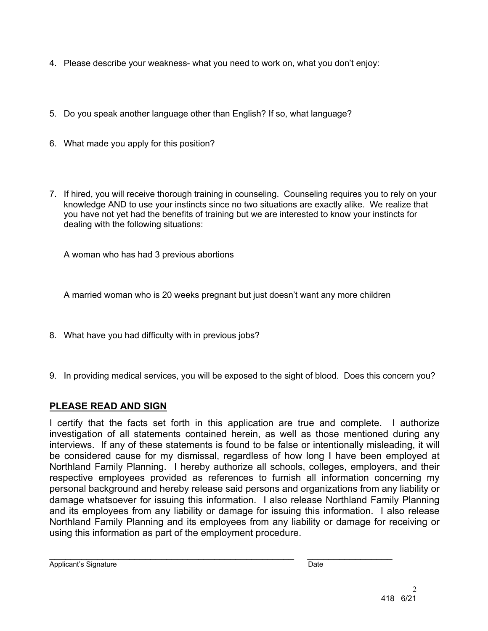- 4. Please describe your weakness- what you need to work on, what you don't enjoy:
- 5. Do you speak another language other than English? If so, what language?
- 6. What made you apply for this position?
- 7. If hired, you will receive thorough training in counseling. Counseling requires you to rely on your knowledge AND to use your instincts since no two situations are exactly alike. We realize that you have not yet had the benefits of training but we are interested to know your instincts for dealing with the following situations:

A woman who has had 3 previous abortions

A married woman who is 20 weeks pregnant but just doesn't want any more children

- 8. What have you had difficulty with in previous jobs?
- 9. In providing medical services, you will be exposed to the sight of blood. Does this concern you?

## **PLEASE READ AND SIGN**

I certify that the facts set forth in this application are true and complete. I authorize investigation of all statements contained herein, as well as those mentioned during any interviews. If any of these statements is found to be false or intentionally misleading, it will be considered cause for my dismissal, regardless of how long I have been employed at Northland Family Planning. I hereby authorize all schools, colleges, employers, and their respective employees provided as references to furnish all information concerning my personal background and hereby release said persons and organizations from any liability or damage whatsoever for issuing this information. I also release Northland Family Planning and its employees from any liability or damage for issuing this information. I also release Northland Family Planning and its employees from any liability or damage for receiving or using this information as part of the employment procedure.

 $\mathcal{L}_\text{max} = \frac{1}{2} \sum_{i=1}^{n} \frac{1}{2} \sum_{i=1}^{n} \frac{1}{2} \sum_{i=1}^{n} \frac{1}{2} \sum_{i=1}^{n} \frac{1}{2} \sum_{i=1}^{n} \frac{1}{2} \sum_{i=1}^{n} \frac{1}{2} \sum_{i=1}^{n} \frac{1}{2} \sum_{i=1}^{n} \frac{1}{2} \sum_{i=1}^{n} \frac{1}{2} \sum_{i=1}^{n} \frac{1}{2} \sum_{i=1}^{n} \frac{1}{2} \sum_{i=1}^{n} \frac{1$ 

Applicant's Signature Date